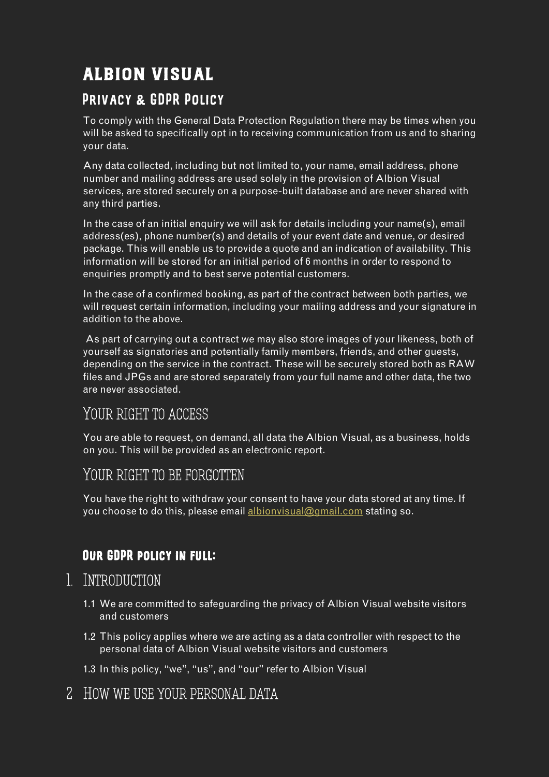# ALBION VISUAL

#### Privacy & GDPR Policy

To comply with the General Data Protection Regulation there may be times when you will be asked to specifically opt in to receiving communication from us and to sharing your data.

Any data collected, including but not limited to, your name, email address, phone number and mailing address are used solely in the provision of Albion Visual services, are stored securely on a purpose-built database and are never shared with any third parties.

In the case of an initial enquiry we will ask for details including your name(s), email address(es), phone number(s) and details of your event date and venue, or desired package. This will enable us to provide a quote and an indication of availability. This information will be stored for an initial period of 6 months in order to respond to enquiries promptly and to best serve potential customers.

In the case of a confirmed booking, as part of the contract between both parties, we will request certain information, including your mailing address and your signature in addition to the above.

As part of carrying out a contract we may also store images of your likeness, both of yourself as signatories and potentially family members, friends, and other guests, depending on the service in the contract. These will be securely stored both as RAW files and JPGs and are stored separately from your full name and other data, the two are never associated.

### YOUR RIGHT TO ACCESS

You are able to request, on demand, all data the Albion Visual, as a business, holds on you. This will be provided as an electronic report.

### YOUR RIGHT TO BE FORGOTTEN

You have the right to withdraw your consent to have your data stored at any time. If you choose to do this, please email [albionvisual@gmail.com](mailto:albionvisual@gmail.com) stating so.

### Our GDPR policy in full:

### 1. Introduction

- 1.1 We are committed to safeguarding the privacy of Albion Visual website visitors and customers
- 1.2 This policy applies where we are acting as a data controller with respect to the personal data of Albion Visual website visitors and customers
- 1.3 In this policy, "we", "us", and "our" refer to Albion Visual
- 2 HOW WE USE YOUR PERSONAL DATA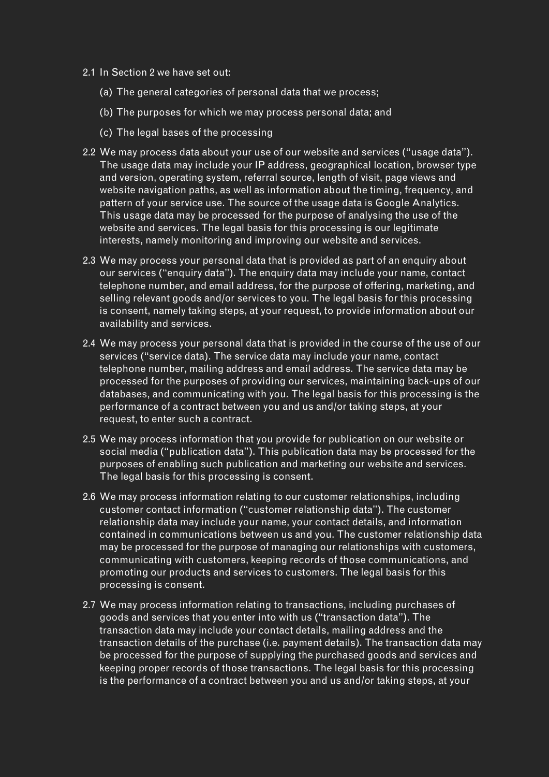- 2.1 In Section 2 we have set out:
	- (a) The general categories of personal data that we process;
	- (b) The purposes for which we may process personal data; and
	- (c) The legal bases of the processing
- 2.2 We may process data about your use of our website and services ("usage data"). The usage data may include your IP address, geographical location, browser type and version, operating system, referral source, length of visit, page views and website navigation paths, as well as information about the timing, frequency, and pattern of your service use. The source of the usage data is Google Analytics. This usage data may be processed for the purpose of analysing the use of the website and services. The legal basis for this processing is our legitimate interests, namely monitoring and improving our website and services.
- 2.3 We may process your personal data that is provided as part of an enquiry about our services ("enquiry data"). The enquiry data may include your name, contact telephone number, and email address, for the purpose of offering, marketing, and selling relevant goods and/or services to you. The legal basis for this processing is consent, namely taking steps, at your request, to provide information about our availability and services.
- 2.4 We may process your personal data that is provided in the course of the use of our services ("service data). The service data may include your name, contact telephone number, mailing address and email address. The service data may be processed for the purposes of providing our services, maintaining back-ups of our databases, and communicating with you. The legal basis for this processing is the performance of a contract between you and us and/or taking steps, at your request, to enter such a contract.
- 2.5 We may process information that you provide for publication on our website or social media ("publication data"). This publication data may be processed for the purposes of enabling such publication and marketing our website and services. The legal basis for this processing is consent.
- 2.6 We may process information relating to our customer relationships, including customer contact information ("customer relationship data"). The customer relationship data may include your name, your contact details, and information contained in communications between us and you. The customer relationship data may be processed for the purpose of managing our relationships with customers, communicating with customers, keeping records of those communications, and promoting our products and services to customers. The legal basis for this processing is consent.
- 2.7 We may process information relating to transactions, including purchases of goods and services that you enter into with us ("transaction data"). The transaction data may include your contact details, mailing address and the transaction details of the purchase (i.e. payment details). The transaction data may be processed for the purpose of supplying the purchased goods and services and keeping proper records of those transactions. The legal basis for this processing is the performance of a contract between you and us and/or taking steps, at your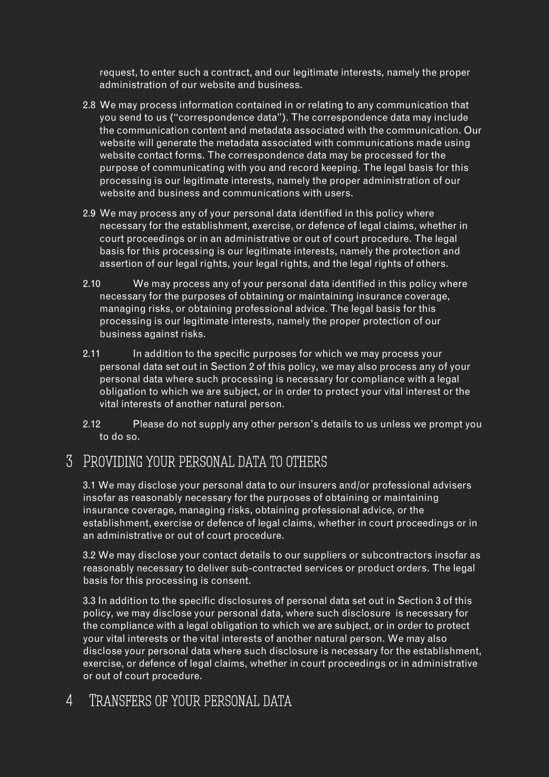request, to enter such a contract, and our legitimate interests, namely the proper administration of our website and business.

- 2.8 We may process information contained in or relating to any communication that you send to us ("correspondence data"). The correspondence data may include the communication content and metadata associated with the communication. Our website will generate the metadata associated with communications made using website contact forms. The correspondence data may be processed for the purpose of communicating with you and record keeping. The legal basis for this processing is our legitimate interests, namely the proper administration of our website and business and communications with users.
- 2.9 We may process any of your personal data identified in this policy where necessary for the establishment, exercise, or defence of legal claims, whether in court proceedings or in an administrative or out of court procedure. The legal basis for this processing is our legitimate interests, namely the protection and assertion of our legal rights, your legal rights, and the legal rights of others.
- 2.10 We may process any of your personal data identified in this policy where necessary for the purposes of obtaining or maintaining insurance coverage, managing risks, or obtaining professional advice. The legal basis for this processing is our legitimate interests, namely the proper protection of our business against risks.
- 2.11 In addition to the specific purposes for which we may process your personal data set out in Section 2 of this policy, we may also process any of your personal data where such processing is necessary for compliance with a legal obligation to which we are subject, or in order to protect your vital interest or the vital interests of another natural person.
- 2.12 Please do not supply any other person's details to us unless we prompt you to do so.

### 3 Providing your personal data to others

3.1 We may disclose your personal data to our insurers and/or professional advisers insofar as reasonably necessary for the purposes of obtaining or maintaining insurance coverage, managing risks, obtaining professional advice, or the establishment, exercise or defence of legal claims, whether in court proceedings or in an administrative or out of court procedure.

3.2 We may disclose your contact details to our suppliers or subcontractors insofar as reasonably necessary to deliver sub-contracted services or product orders. The legal basis for this processing is consent.

3.3 In addition to the specific disclosures of personal data set out in Section 3 of this policy, we may disclose your personal data, where such disclosure is necessary for the compliance with a legal obligation to which we are subject, or in order to protect your vital interests or the vital interests of another natural person. We may also disclose your personal data where such disclosure is necessary for the establishment, exercise, or defence of legal claims, whether in court proceedings or in administrative or out of court procedure.

### 4 TRANSFERS OF YOUR PERSONAL DATA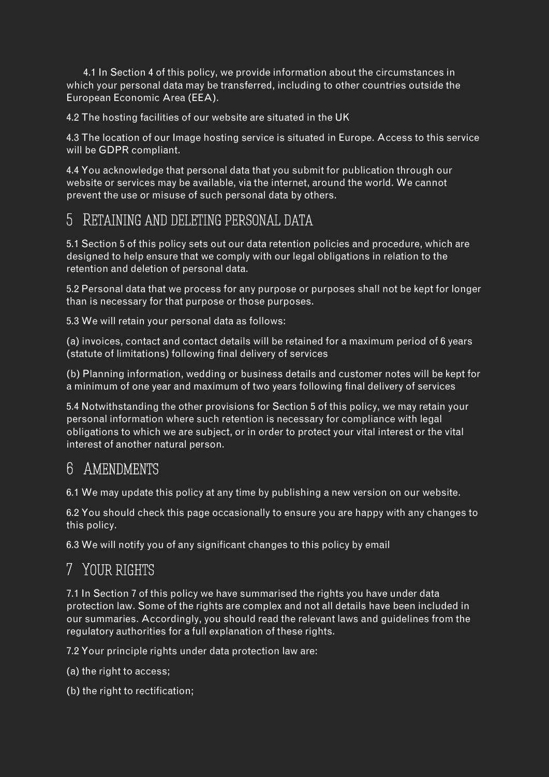4.1 In Section 4 of this policy, we provide information about the circumstances in which your personal data may be transferred, including to other countries outside the European Economic Area (EEA).

4.2 The hosting facilities of our website are situated in the UK

4.3 The location of our Image hosting service is situated in Europe. Access to this service will be GDPR compliant.

4.4 You acknowledge that personal data that you submit for publication through our website or services may be available, via the internet, around the world. We cannot prevent the use or misuse of such personal data by others.

### 5 Retaining and deleting personal data

5.1 Section 5 of this policy sets out our data retention policies and procedure, which are designed to help ensure that we comply with our legal obligations in relation to the retention and deletion of personal data.

5.2 Personal data that we process for any purpose or purposes shall not be kept for longer than is necessary for that purpose or those purposes.

5.3 We will retain your personal data as follows:

(a) invoices, contact and contact details will be retained for a maximum period of 6 years (statute of limitations) following final delivery of services

(b) Planning information, wedding or business details and customer notes will be kept for a minimum of one year and maximum of two years following final delivery of services

5.4 Notwithstanding the other provisions for Section 5 of this policy, we may retain your personal information where such retention is necessary for compliance with legal obligations to which we are subject, or in order to protect your vital interest or the vital interest of another natural person.

### 6 Amendments

6.1 We may update this policy at any time by publishing a new version on our website.

6.2 You should check this page occasionally to ensure you are happy with any changes to this policy.

6.3 We will notify you of any significant changes to this policy by email

# 7 Your rights

7.1 In Section 7 of this policy we have summarised the rights you have under data protection law. Some of the rights are complex and not all details have been included in our summaries. Accordingly, you should read the relevant laws and guidelines from the regulatory authorities for a full explanation of these rights.

7.2 Your principle rights under data protection law are:

- (a) the right to access;
- (b) the right to rectification;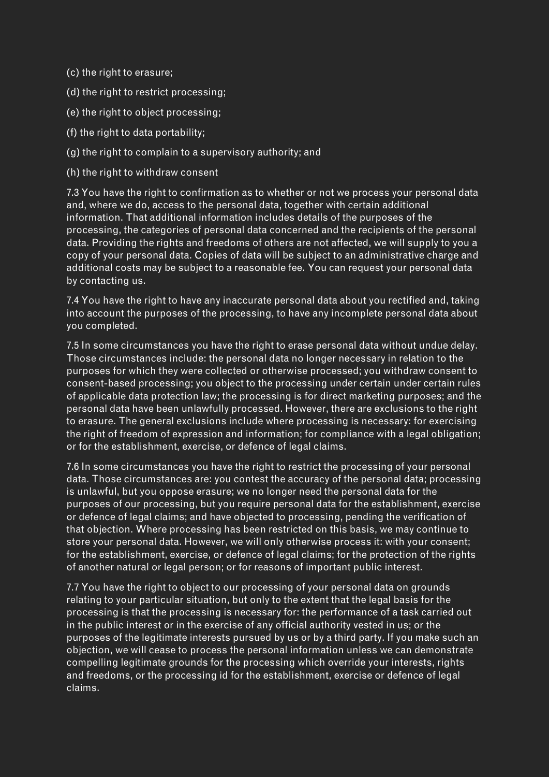- (c) the right to erasure;
- (d) the right to restrict processing;
- (e) the right to object processing;
- (f) the right to data portability;
- (g) the right to complain to a supervisory authority; and
- (h) the right to withdraw consent

7.3 You have the right to confirmation as to whether or not we process your personal data and, where we do, access to the personal data, together with certain additional information. That additional information includes details of the purposes of the processing, the categories of personal data concerned and the recipients of the personal data. Providing the rights and freedoms of others are not affected, we will supply to you a copy of your personal data. Copies of data will be subject to an administrative charge and additional costs may be subject to a reasonable fee. You can request your personal data by contacting us.

7.4 You have the right to have any inaccurate personal data about you rectified and, taking into account the purposes of the processing, to have any incomplete personal data about you completed.

7.5 In some circumstances you have the right to erase personal data without undue delay. Those circumstances include: the personal data no longer necessary in relation to the purposes for which they were collected or otherwise processed; you withdraw consent to consent-based processing; you object to the processing under certain under certain rules of applicable data protection law; the processing is for direct marketing purposes; and the personal data have been unlawfully processed. However, there are exclusions to the right to erasure. The general exclusions include where processing is necessary: for exercising the right of freedom of expression and information; for compliance with a legal obligation; or for the establishment, exercise, or defence of legal claims.

7.6 In some circumstances you have the right to restrict the processing of your personal data. Those circumstances are: you contest the accuracy of the personal data; processing is unlawful, but you oppose erasure; we no longer need the personal data for the purposes of our processing, but you require personal data for the establishment, exercise or defence of legal claims; and have objected to processing, pending the verification of that objection. Where processing has been restricted on this basis, we may continue to store your personal data. However, we will only otherwise process it: with your consent; for the establishment, exercise, or defence of legal claims; for the protection of the rights of another natural or legal person; or for reasons of important public interest.

7.7 You have the right to object to our processing of your personal data on grounds relating to your particular situation, but only to the extent that the legal basis for the processing is that the processing is necessary for: the performance of a task carried out in the public interest or in the exercise of any official authority vested in us; or the purposes of the legitimate interests pursued by us or by a third party. If you make such an objection, we will cease to process the personal information unless we can demonstrate compelling legitimate grounds for the processing which override your interests, rights and freedoms, or the processing id for the establishment, exercise or defence of legal claims.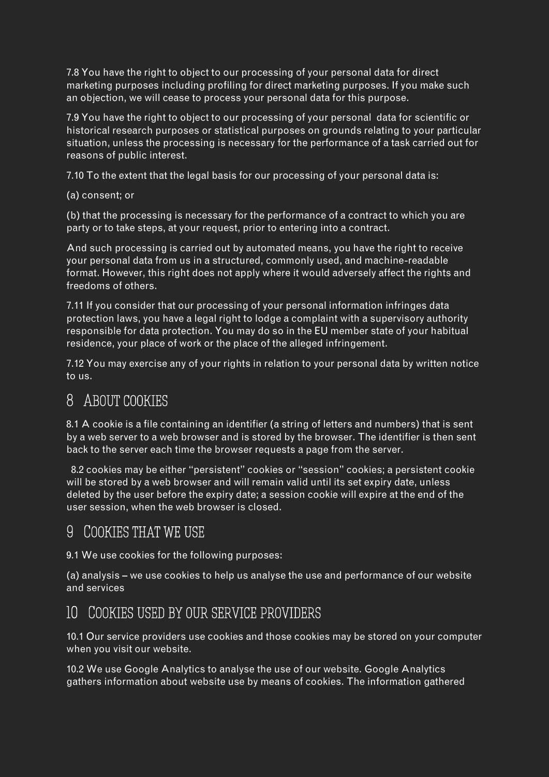7.8 You have the right to object to our processing of your personal data for direct marketing purposes including profiling for direct marketing purposes. If you make such an objection, we will cease to process your personal data for this purpose.

7.9 You have the right to object to our processing of your personal data for scientific or historical research purposes or statistical purposes on grounds relating to your particular situation, unless the processing is necessary for the performance of a task carried out for reasons of public interest.

7.10 To the extent that the legal basis for our processing of your personal data is:

(a) consent; or

(b) that the processing is necessary for the performance of a contract to which you are party or to take steps, at your request, prior to entering into a contract.

And such processing is carried out by automated means, you have the right to receive your personal data from us in a structured, commonly used, and machine-readable format. However, this right does not apply where it would adversely affect the rights and freedoms of others.

7.11 If you consider that our processing of your personal information infringes data protection laws, you have a legal right to lodge a complaint with a supervisory authority responsible for data protection. You may do so in the EU member state of your habitual residence, your place of work or the place of the alleged infringement.

7.12 You may exercise any of your rights in relation to your personal data by written notice to us.

### 8 ABOUT COOKIES

8.1 A cookie is a file containing an identifier (a string of letters and numbers) that is sent by a web server to a web browser and is stored by the browser. The identifier is then sent back to the server each time the browser requests a page from the server.

 8.2 cookies may be either "persistent" cookies or "session" cookies; a persistent cookie will be stored by a web browser and will remain valid until its set expiry date, unless deleted by the user before the expiry date; a session cookie will expire at the end of the user session, when the web browser is closed.

### 9 Cookies that we use

9.1 We use cookies for the following purposes:

(a) analysis – we use cookies to help us analyse the use and performance of our website and services

### 10 Cookies used by our service providers

10.1 Our service providers use cookies and those cookies may be stored on your computer when you visit our website.

10.2 We use Google Analytics to analyse the use of our website. Google Analytics gathers information about website use by means of cookies. The information gathered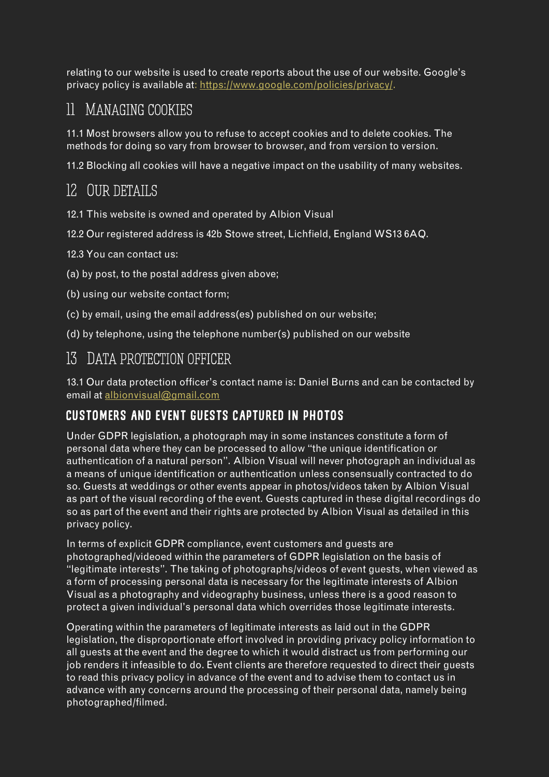relating to our website is used to create reports about the use of our website. Google's privacy policy is available at[: https://www.google.com/policies/privacy/.](https://www.google.com/policies/privacy/)

# 11 Managing cookies

11.1 Most browsers allow you to refuse to accept cookies and to delete cookies. The methods for doing so vary from browser to browser, and from version to version.

11.2 Blocking all cookies will have a negative impact on the usability of many websites.

# 12 Our details

12.1 This website is owned and operated by Albion Visual

12.2 Our registered address is 42b Stowe street, Lichfield, England WS13 6AQ.

12.3 You can contact us:

- (a) by post, to the postal address given above;
- (b) using our website contact form;
- (c) by email, using the email address(es) published on our website;
- (d) by telephone, using the telephone number(s) published on our website

### 13 Data protection officer

13.1 Our data protection officer's contact name is: Daniel Burns and can be contacted by email a[t albionvisual@gmail.com](mailto:albionvisual@gmail.com)

### CUSTOMERS AND EVENT GUESTS CAPTURED IN PHOTOS

Under GDPR legislation, a photograph may in some instances constitute a form of personal data where they can be processed to allow "the unique identification or authentication of a natural person". Albion Visual will never photograph an individual as a means of unique identification or authentication unless consensually contracted to do so. Guests at weddings or other events appear in photos/videos taken by Albion Visual as part of the visual recording of the event. Guests captured in these digital recordings do so as part of the event and their rights are protected by Albion Visual as detailed in this privacy policy.

In terms of explicit GDPR compliance, event customers and guests are photographed/videoed within the parameters of GDPR legislation on the basis of "legitimate interests". The taking of photographs/videos of event guests, when viewed as a form of processing personal data is necessary for the legitimate interests of Albion Visual as a photography and videography business, unless there is a good reason to protect a given individual's personal data which overrides those legitimate interests.

Operating within the parameters of legitimate interests as laid out in the GDPR legislation, the disproportionate effort involved in providing privacy policy information to all guests at the event and the degree to which it would distract us from performing our job renders it infeasible to do. Event clients are therefore requested to direct their guests to read this privacy policy in advance of the event and to advise them to contact us in advance with any concerns around the processing of their personal data, namely being photographed/filmed.